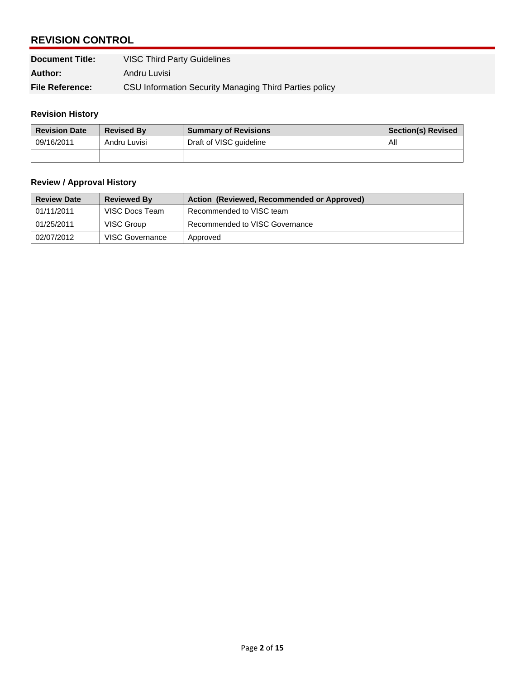| <b>REVISION CONTROL</b> |                                                        |  |  |
|-------------------------|--------------------------------------------------------|--|--|
| <b>Document Title:</b>  | <b>VISC Third Party Guidelines</b>                     |  |  |
| Author:                 | Andru Luvisi                                           |  |  |
| <b>File Reference:</b>  | CSU Information Security Managing Third Parties policy |  |  |

#### **Revision History**

| <b>Revision Date</b> | <b>Revised By</b> | <b>Summary of Revisions</b> | <b>Section(s) Revised</b> |
|----------------------|-------------------|-----------------------------|---------------------------|
| 09/16/2011           | Andru Luvisi      | Draft of VISC quideline     | All                       |
|                      |                   |                             |                           |

| <b>Review / Approval History</b> |                    |                                            |  |  |
|----------------------------------|--------------------|--------------------------------------------|--|--|
| <b>Review Date</b>               | <b>Reviewed By</b> | Action (Reviewed, Recommended or Approved) |  |  |
| 01/11/2011                       | VISC Docs Team     | Recommended to VISC team                   |  |  |
| 01/25/2011                       | VISC Group         | Recommended to VISC Governance             |  |  |
| 02/07/2012                       | VISC Governance    | Approved                                   |  |  |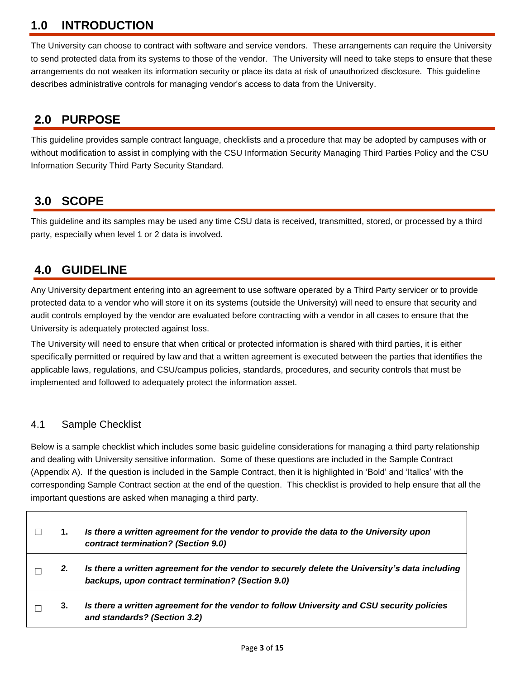## **1.0 INTRODUCTION**

 The University can choose to contract with software and service vendors. These arrangements can require the University to send protected data from its systems to those of the vendor. The University will need to take steps to ensure that these arrangements do not weaken its information security or place its data at risk of unauthorized disclosure. This guideline describes administrative controls for managing vendor's access to data from the University.

## **2.0 PURPOSE**

This guideline provides sample contract language, checklists and a procedure that may be adopted by campuses with or without modification to assist in complying with the CSU Information Security Managing Third Parties Policy and the CSU Information Security Third Party Security Standard.

### **3.0 SCOPE**

 party, especially when level 1 or 2 data is involved. This guideline and its samples may be used any time CSU data is received, transmitted, stored, or processed by a third

### **4.0 GUIDELINE**

 audit controls employed by the vendor are evaluated before contracting with a vendor in all cases to ensure that the Any University department entering into an agreement to use software operated by a Third Party servicer or to provide protected data to a vendor who will store it on its systems (outside the University) will need to ensure that security and University is adequately protected against loss.

 The University will need to ensure that when critical or protected information is shared with third parties, it is either specifically permitted or required by law and that a written agreement is executed between the parties that identifies the implemented and followed to adequately protect the information asset. applicable laws, regulations, and CSU/campus policies, standards, procedures, and security controls that must be

#### 4.1 Sample Checklist

 and dealing with University sensitive information. Some of these questions are included in the Sample Contract (Appendix A). If the question is included in the Sample Contract, then it is highlighted in 'Bold' and 'Italics' with the corresponding Sample Contract section at the end of the question. This checklist is provided to help ensure that all the important questions are asked when managing a third party. Below is a sample checklist which includes some basic guideline considerations for managing a third party relationship

| 1. | Is there a written agreement for the vendor to provide the data to the University upon<br>contract termination? (Section 9.0)                       |
|----|-----------------------------------------------------------------------------------------------------------------------------------------------------|
| 2. | Is there a written agreement for the vendor to securely delete the University's data including<br>backups, upon contract termination? (Section 9.0) |
| 3. | Is there a written agreement for the vendor to follow University and CSU security policies<br>and standards? (Section 3.2)                          |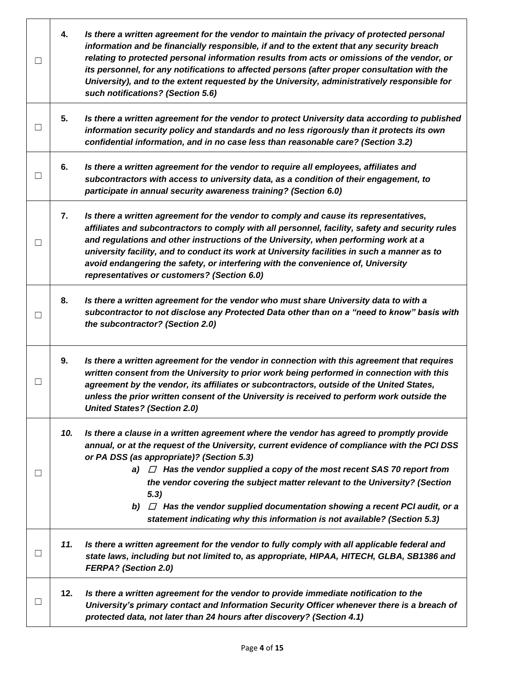| $\Box$ | 4.  | Is there a written agreement for the vendor to maintain the privacy of protected personal<br>information and be financially responsible, if and to the extent that any security breach<br>relating to protected personal information results from acts or omissions of the vendor, or<br>its personnel, for any notifications to affected persons (after proper consultation with the<br>University), and to the extent requested by the University, administratively responsible for<br>such notifications? (Section 5.6)                                                      |
|--------|-----|---------------------------------------------------------------------------------------------------------------------------------------------------------------------------------------------------------------------------------------------------------------------------------------------------------------------------------------------------------------------------------------------------------------------------------------------------------------------------------------------------------------------------------------------------------------------------------|
| $\Box$ | 5.  | Is there a written agreement for the vendor to protect University data according to published<br>information security policy and standards and no less rigorously than it protects its own<br>confidential information, and in no case less than reasonable care? (Section 3.2)                                                                                                                                                                                                                                                                                                 |
| $\Box$ | 6.  | Is there a written agreement for the vendor to require all employees, affiliates and<br>subcontractors with access to university data, as a condition of their engagement, to<br>participate in annual security awareness training? (Section 6.0)                                                                                                                                                                                                                                                                                                                               |
| $\Box$ | 7.  | Is there a written agreement for the vendor to comply and cause its representatives,<br>affiliates and subcontractors to comply with all personnel, facility, safety and security rules<br>and regulations and other instructions of the University, when performing work at a<br>university facility, and to conduct its work at University facilities in such a manner as to<br>avoid endangering the safety, or interfering with the convenience of, University<br>representatives or customers? (Section 6.0)                                                               |
| $\Box$ | 8.  | Is there a written agreement for the vendor who must share University data to with a<br>subcontractor to not disclose any Protected Data other than on a "need to know" basis with<br>the subcontractor? (Section 2.0)                                                                                                                                                                                                                                                                                                                                                          |
| $\Box$ | 9.  | Is there a written agreement for the vendor in connection with this agreement that requires<br>written consent from the University to prior work being performed in connection with this<br>agreement by the vendor, its affiliates or subcontractors, outside of the United States,<br>unless the prior written consent of the University is received to perform work outside the<br><b>United States? (Section 2.0)</b>                                                                                                                                                       |
| ப      | 10. | Is there a clause in a written agreement where the vendor has agreed to promptly provide<br>annual, or at the request of the University, current evidence of compliance with the PCI DSS<br>or PA DSS (as appropriate)? (Section 5.3)<br>a) $\Box$ Has the vendor supplied a copy of the most recent SAS 70 report from<br>the vendor covering the subject matter relevant to the University? (Section<br>5.3)<br>b) $\Box$ Has the vendor supplied documentation showing a recent PCI audit, or a<br>statement indicating why this information is not available? (Section 5.3) |
| ப      | 11. | Is there a written agreement for the vendor to fully comply with all applicable federal and<br>state laws, including but not limited to, as appropriate, HIPAA, HITECH, GLBA, SB1386 and<br><b>FERPA?</b> (Section 2.0)                                                                                                                                                                                                                                                                                                                                                         |
| ப      | 12. | Is there a written agreement for the vendor to provide immediate notification to the<br>University's primary contact and Information Security Officer whenever there is a breach of<br>protected data, not later than 24 hours after discovery? (Section 4.1)                                                                                                                                                                                                                                                                                                                   |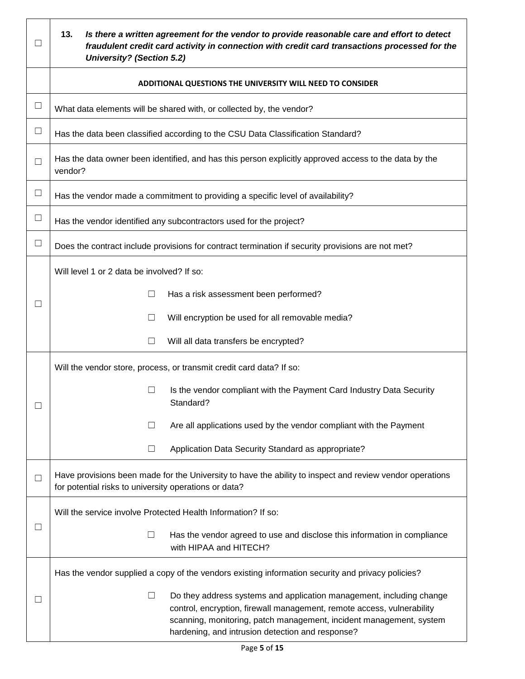| ப      | 13.<br>Is there a written agreement for the vendor to provide reasonable care and effort to detect<br>fraudulent credit card activity in connection with credit card transactions processed for the<br><b>University? (Section 5.2)</b>                                             |  |  |  |
|--------|-------------------------------------------------------------------------------------------------------------------------------------------------------------------------------------------------------------------------------------------------------------------------------------|--|--|--|
|        | ADDITIONAL QUESTIONS THE UNIVERSITY WILL NEED TO CONSIDER                                                                                                                                                                                                                           |  |  |  |
| $\Box$ | What data elements will be shared with, or collected by, the vendor?                                                                                                                                                                                                                |  |  |  |
| $\Box$ | Has the data been classified according to the CSU Data Classification Standard?                                                                                                                                                                                                     |  |  |  |
| $\Box$ | Has the data owner been identified, and has this person explicitly approved access to the data by the<br>vendor?                                                                                                                                                                    |  |  |  |
| $\Box$ | Has the vendor made a commitment to providing a specific level of availability?                                                                                                                                                                                                     |  |  |  |
| $\Box$ | Has the vendor identified any subcontractors used for the project?                                                                                                                                                                                                                  |  |  |  |
| $\Box$ | Does the contract include provisions for contract termination if security provisions are not met?                                                                                                                                                                                   |  |  |  |
| □      | Will level 1 or 2 data be involved? If so:<br>□<br>Has a risk assessment been performed?<br>Will encryption be used for all removable media?<br>□<br>Will all data transfers be encrypted?<br>⊔<br>Will the vendor store, process, or transmit credit card data? If so:             |  |  |  |
| $\Box$ | Is the vendor compliant with the Payment Card Industry Data Security<br>$\Box$<br>Standard?<br>Are all applications used by the vendor compliant with the Payment<br>ш<br>Application Data Security Standard as appropriate?<br>⊔                                                   |  |  |  |
| $\Box$ | Have provisions been made for the University to have the ability to inspect and review vendor operations<br>for potential risks to university operations or data?                                                                                                                   |  |  |  |
| $\Box$ | Will the service involve Protected Health Information? If so:<br>$\Box$<br>Has the vendor agreed to use and disclose this information in compliance<br>with HIPAA and HITECH?                                                                                                       |  |  |  |
|        | Has the vendor supplied a copy of the vendors existing information security and privacy policies?                                                                                                                                                                                   |  |  |  |
| ⊔      | $\Box$<br>Do they address systems and application management, including change<br>control, encryption, firewall management, remote access, vulnerability<br>scanning, monitoring, patch management, incident management, system<br>hardening, and intrusion detection and response? |  |  |  |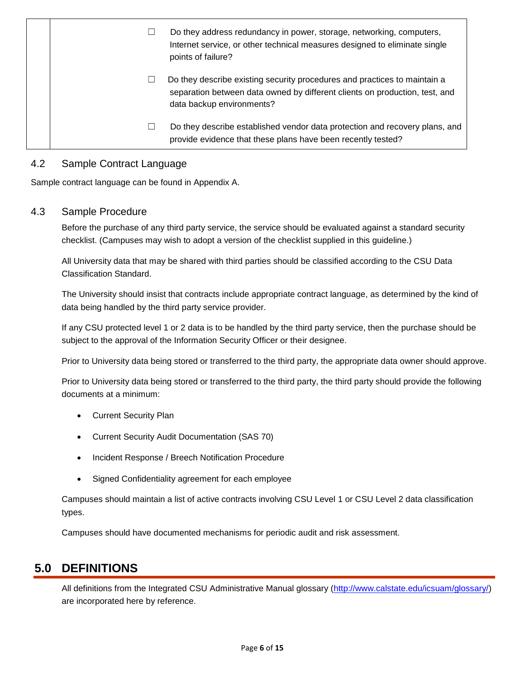|  | Do they address redundancy in power, storage, networking, computers,<br>Internet service, or other technical measures designed to eliminate single<br>points of failure?              |
|--|---------------------------------------------------------------------------------------------------------------------------------------------------------------------------------------|
|  | Do they describe existing security procedures and practices to maintain a<br>separation between data owned by different clients on production, test, and<br>data backup environments? |
|  | Do they describe established vendor data protection and recovery plans, and<br>provide evidence that these plans have been recently tested?                                           |

#### 4.2 Sample Contract Language

Sample contract language can be found in Appendix A.

#### 4.3 Sample Procedure

 Before the purchase of any third party service, the service should be evaluated against a standard security checklist. (Campuses may wish to adopt a version of the checklist supplied in this guideline.)

 Classification Standard. All University data that may be shared with third parties should be classified according to the CSU Data

 The University should insist that contracts include appropriate contract language, as determined by the kind of data being handled by the third party service provider.

 If any CSU protected level 1 or 2 data is to be handled by the third party service, then the purchase should be subject to the approval of the Information Security Officer or their designee.

Prior to University data being stored or transferred to the third party, the appropriate data owner should approve.

 Prior to University data being stored or transferred to the third party, the third party should provide the following documents at a minimum:

- Current Security Plan
- Current Security Audit Documentation (SAS 70)
- Incident Response / Breech Notification Procedure
- Signed Confidentiality agreement for each employee

Campuses should maintain a list of active contracts involving CSU Level 1 or CSU Level 2 data classification types.

Campuses should have documented mechanisms for periodic audit and risk assessment.

#### **5.0 DEFINITIONS**

All definitions from the Integrated CSU Administrative Manual glossary [\(http://www.calstate.edu/icsuam/glossary/\)](http://www.calstate.edu/icsuam/glossary/) are incorporated here by reference.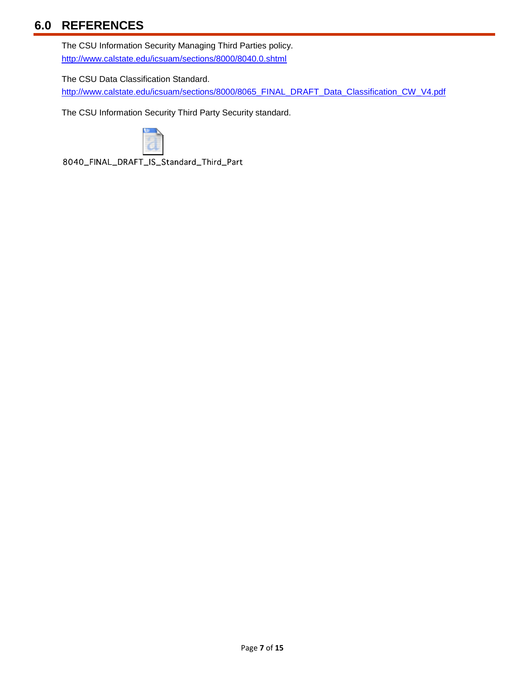## **6.0 REFERENCES**

 The CSU Information Security Managing Third Parties policy. <http://www.calstate.edu/icsuam/sections/8000/8040.0.shtml>

The CSU Data Classification Standard.

[http://www.calstate.edu/icsuam/sections/8000/8065\\_FINAL\\_DRAFT\\_Data\\_Classification\\_CW\\_V4.pdf](http://www.calstate.edu/icsuam/sections/8000/8065_FINAL_DRAFT_Data_Classification_CW_V4.pdf) 

The CSU Information Security Third Party Security standard.



8040\_FINAL\_DRAFT\_IS\_Standard\_Third\_Part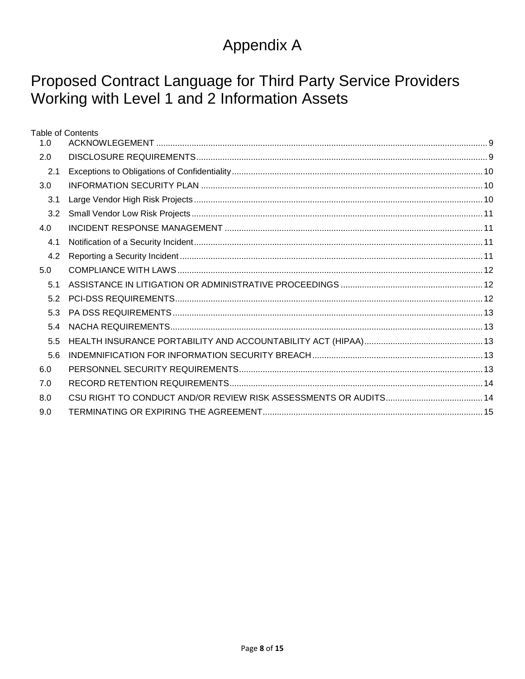# Appendix A

# Proposed Contract Language for Third Party Service Providers Working with Level 1 and 2 Information Assets

|     | <b>Table of Contents</b> |  |
|-----|--------------------------|--|
| 1.0 |                          |  |
| 2.0 |                          |  |
| 2.1 |                          |  |
| 3.0 |                          |  |
| 3.1 |                          |  |
| 3.2 |                          |  |
| 4.0 |                          |  |
| 4.1 |                          |  |
| 4.2 |                          |  |
| 5.0 |                          |  |
| 5.1 |                          |  |
| 5.2 |                          |  |
| 53  |                          |  |
| 5.4 |                          |  |
| 5.5 |                          |  |
| 5.6 |                          |  |
| 6.0 |                          |  |
| 7.0 |                          |  |
| 8.0 |                          |  |
| 9.0 |                          |  |
|     |                          |  |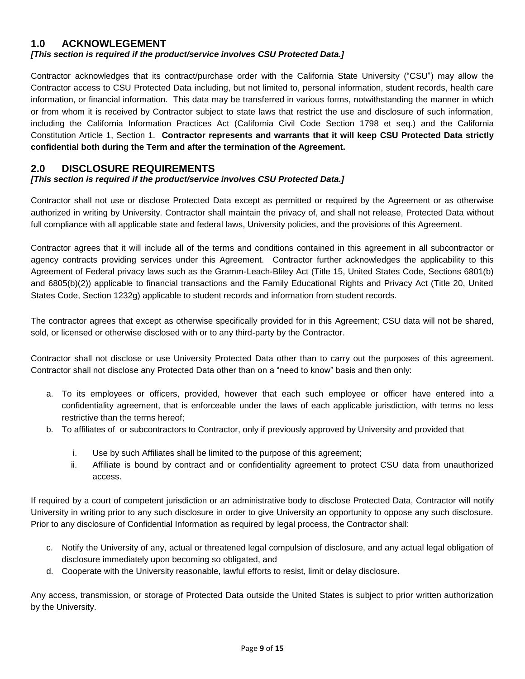#### <span id="page-8-0"></span>**1.0 ACKNOWLEGEMENT**

#### *[This section is required if the product/service involves CSU Protected Data.]*

 Contractor acknowledges that its contract/purchase order with the California State University ("CSU") may allow the information, or financial information. This data may be transferred in various forms, notwithstanding the manner in which or from whom it is received by Contractor subject to state laws that restrict the use and disclosure of such information, including the California Information Practices Act (California Civil Code Section 1798 et seq.) and the California Constitution Article 1, Section 1. **Contractor represents and warrants that it will keep CSU Protected Data strictly**  Contractor access to CSU Protected Data including, but not limited to, personal information, student records, health care **confidential both during the Term and after the termination of the Agreement.** 

#### <span id="page-8-1"></span>**2.0 DISCLOSURE REQUIREMENTS**

#### *[This section is required if the product/service involves CSU Protected Data.]*

 Contractor shall not use or disclose Protected Data except as permitted or required by the Agreement or as otherwise authorized in writing by University. Contractor shall maintain the privacy of, and shall not release, Protected Data without full compliance with all applicable state and federal laws, University policies, and the provisions of this Agreement.

 Contractor agrees that it will include all of the terms and conditions contained in this agreement in all subcontractor or agency contracts providing services under this Agreement. Contractor further acknowledges the applicability to this Agreement of Federal privacy laws such as the Gramm-Leach-Bliley Act (Title 15, United States Code, Sections 6801(b) and 6805(b)(2)) applicable to financial transactions and the Family Educational Rights and Privacy Act (Title 20, United States Code, Section 1232g) applicable to student records and information from student records.

 The contractor agrees that except as otherwise specifically provided for in this Agreement; CSU data will not be shared, sold, or licensed or otherwise disclosed with or to any third-party by the Contractor.

 Contractor shall not disclose or use University Protected Data other than to carry out the purposes of this agreement. Contractor shall not disclose any Protected Data other than on a "need to know" basis and then only:

- a. To its employees or officers, provided, however that each such employee or officer have entered into a confidentiality agreement, that is enforceable under the laws of each applicable jurisdiction, with terms no less restrictive than the terms hereof;
- b. To affiliates of or subcontractors to Contractor, only if previously approved by University and provided that
	- i. Use by such Affiliates shall be limited to the purpose of this agreement;
	- ii. Affiliate is bound by contract and or confidentiality agreement to protect CSU data from unauthorized access.

 If required by a court of competent jurisdiction or an administrative body to disclose Protected Data, Contractor will notify University in writing prior to any such disclosure in order to give University an opportunity to oppose any such disclosure. Prior to any disclosure of Confidential Information as required by legal process, the Contractor shall:

- c. Notify the University of any, actual or threatened legal compulsion of disclosure, and any actual legal obligation of disclosure immediately upon becoming so obligated, and
- d. Cooperate with the University reasonable, lawful efforts to resist, limit or delay disclosure.

 Any access, transmission, or storage of Protected Data outside the United States is subject to prior written authorization by the University.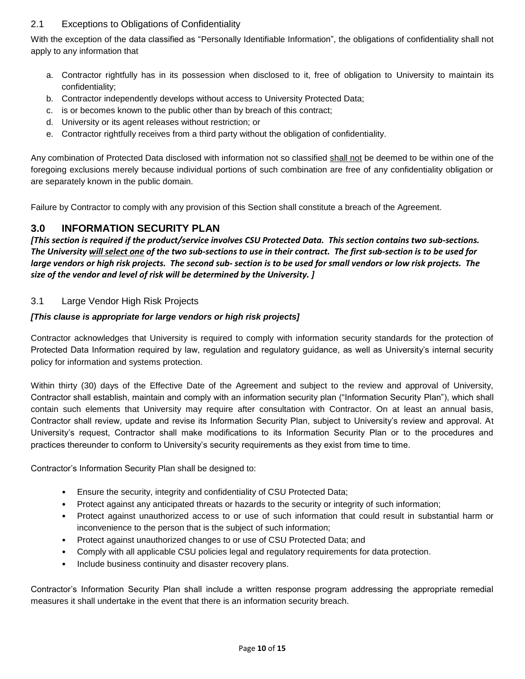#### <span id="page-9-0"></span>2.1 Exceptions to Obligations of Confidentiality

 With the exception of the data classified as "Personally Identifiable Information", the obligations of confidentiality shall not apply to any information that

- a. Contractor rightfully has in its possession when disclosed to it, free of obligation to University to maintain its confidentiality;
- b. Contractor independently develops without access to University Protected Data;
- c. is or becomes known to the public other than by breach of this contract;
- d. University or its agent releases without restriction; or
- e. Contractor rightfully receives from a third party without the obligation of confidentiality.

Any combination of Protected Data disclosed with information not so classified **shall not** be deemed to be within one of the foregoing exclusions merely because individual portions of such combination are free of any confidentiality obligation or are separately known in the public domain.

Failure by Contractor to comply with any provision of this Section shall constitute a breach of the Agreement.

#### <span id="page-9-1"></span>**3.0 INFORMATION SECURITY PLAN**

 *[This section is required if the product/service involves CSU Protected Data. This section contains two sub-sections. The University will select one of the two sub-sections to use in their contract. The first sub-section is to be used for large vendors or high risk projects. The second sub- section is to be used for small vendors or low risk projects. The size of the vendor and level of risk will be determined by the University. ]* 

#### <span id="page-9-2"></span>3.1 Large Vendor High Risk Projects

#### *[This clause is appropriate for large vendors or high risk projects]*

 Contractor acknowledges that University is required to comply with information security standards for the protection of Protected Data Information required by law, regulation and regulatory guidance, as well as University's internal security policy for information and systems protection.

 Within thirty (30) days of the Effective Date of the Agreement and subject to the review and approval of University, Contractor shall establish, maintain and comply with an information security plan ("Information Security Plan"), which shall contain such elements that University may require after consultation with Contractor. On at least an annual basis, Contractor shall review, update and revise its Information Security Plan, subject to University's review and approval. At University's request, Contractor shall make modifications to its Information Security Plan or to the procedures and practices thereunder to conform to University's security requirements as they exist from time to time.

Contractor's Information Security Plan shall be designed to:

- Ensure the security, integrity and confidentiality of CSU Protected Data;
- Protect against any anticipated threats or hazards to the security or integrity of such information;
- • Protect against unauthorized access to or use of such information that could result in substantial harm or inconvenience to the person that is the subject of such information;
- Protect against unauthorized changes to or use of CSU Protected Data; and
- Comply with all applicable CSU policies legal and regulatory requirements for data protection.
- Include business continuity and disaster recovery plans.

 Contractor's Information Security Plan shall include a written response program addressing the appropriate remedial measures it shall undertake in the event that there is an information security breach.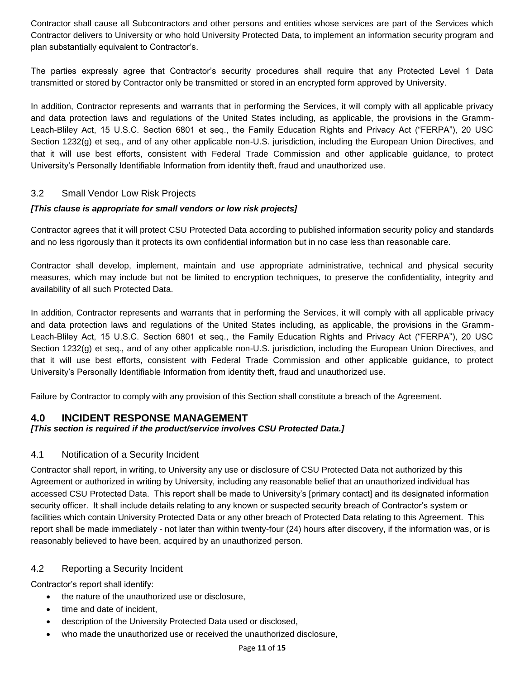Contractor shall cause all Subcontractors and other persons and entities whose services are part of the Services which Contractor delivers to University or who hold University Protected Data, to implement an information security program and plan substantially equivalent to Contractor's.

 The parties expressly agree that Contractor's security procedures shall require that any Protected Level 1 Data transmitted or stored by Contractor only be transmitted or stored in an encrypted form approved by University.

 In addition, Contractor represents and warrants that in performing the Services, it will comply with all applicable privacy and data protection laws and regulations of the United States including, as applicable, the provisions in the Gramm- Leach-Bliley Act, 15 U.S.C. Section 6801 et seq., the Family Education Rights and Privacy Act ("FERPA"), 20 USC Section 1232(g) et seq., and of any other applicable non-U.S. jurisdiction, including the European Union Directives, and that it will use best efforts, consistent with Federal Trade Commission and other applicable guidance, to protect University's Personally Identifiable Information from identity theft, fraud and unauthorized use.

#### <span id="page-10-0"></span> $3.2$ Small Vendor Low Risk Projects

#### *[This clause is appropriate for small vendors or low risk projects]*

 Contractor agrees that it will protect CSU Protected Data according to published information security policy and standards and no less rigorously than it protects its own confidential information but in no case less than reasonable care.

 Contractor shall develop, implement, maintain and use appropriate administrative, technical and physical security measures, which may include but not be limited to encryption techniques, to preserve the confidentiality, integrity and availability of all such Protected Data.

 In addition, Contractor represents and warrants that in performing the Services, it will comply with all applicable privacy and data protection laws and regulations of the United States including, as applicable, the provisions in the Gramm- Leach-Bliley Act, 15 U.S.C. Section 6801 et seq., the Family Education Rights and Privacy Act ("FERPA"), 20 USC Section 1232(g) et seq., and of any other applicable non-U.S. jurisdiction, including the European Union Directives, and that it will use best efforts, consistent with Federal Trade Commission and other applicable guidance, to protect University's Personally Identifiable Information from identity theft, fraud and unauthorized use.

Failure by Contractor to comply with any provision of this Section shall constitute a breach of the Agreement.

#### <span id="page-10-1"></span>**4.0 INCIDENT RESPONSE MANAGEMENT**

#### <span id="page-10-2"></span>*[This section is required if the product/service involves CSU Protected Data.]*

#### 4.1 Notification of a Security Incident

 Contractor shall report, in writing, to University any use or disclosure of CSU Protected Data not authorized by this Agreement or authorized in writing by University, including any reasonable belief that an unauthorized individual has facilities which contain University Protected Data or any other breach of Protected Data relating to this Agreement. This report shall be made immediately - not later than within twenty-four (24) hours after discovery, if the information was, or is accessed CSU Protected Data. This report shall be made to University's [primary contact] and its designated information security officer. It shall include details relating to any known or suspected security breach of Contractor's system or reasonably believed to have been, acquired by an unauthorized person.

#### <span id="page-10-3"></span>4.2 Reporting a Security Incident

Contractor's report shall identify:

- the nature of the unauthorized use or disclosure,
- time and date of incident,
- description of the University Protected Data used or disclosed,
- who made the unauthorized use or received the unauthorized disclosure,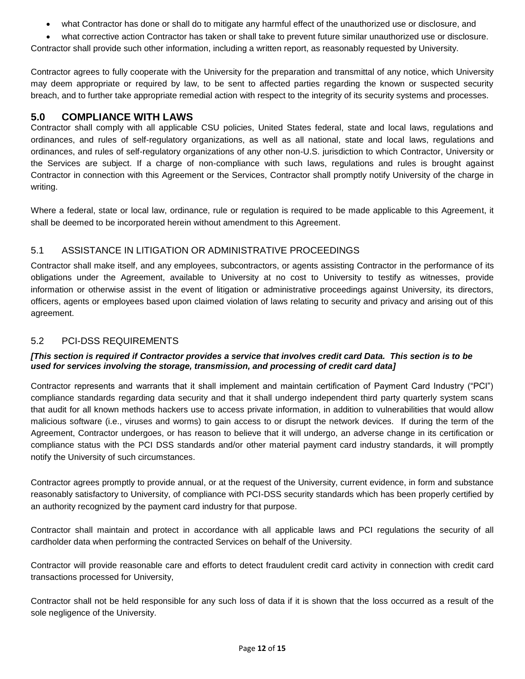what Contractor has done or shall do to mitigate any harmful effect of the unauthorized use or disclosure, and

 what corrective action Contractor has taken or shall take to prevent future similar unauthorized use or disclosure. Contractor shall provide such other information, including a written report, as reasonably requested by University.

 Contractor agrees to fully cooperate with the University for the preparation and transmittal of any notice, which University may deem appropriate or required by law, to be sent to affected parties regarding the known or suspected security breach, and to further take appropriate remedial action with respect to the integrity of its security systems and processes.

#### <span id="page-11-0"></span>**5.0 COMPLIANCE WITH LAWS**

 ordinances, and rules of self-regulatory organizations, as well as all national, state and local laws, regulations and ordinances, and rules of self-regulatory organizations of any other non-U.S. jurisdiction to which Contractor, University or the Services are subject. If a charge of non-compliance with such laws, regulations and rules is brought against Contractor in connection with this Agreement or the Services, Contractor shall promptly notify University of the charge in Contractor shall comply with all applicable CSU policies, United States federal, state and local laws, regulations and writing.

 Where a federal, state or local law, ordinance, rule or regulation is required to be made applicable to this Agreement, it shall be deemed to be incorporated herein without amendment to this Agreement.

#### <span id="page-11-1"></span>5.1 ASSISTANCE IN LITIGATION OR ADMINISTRATIVE PROCEEDINGS

 Contractor shall make itself, and any employees, subcontractors, or agents assisting Contractor in the performance of its obligations under the Agreement, available to University at no cost to University to testify as witnesses, provide information or otherwise assist in the event of litigation or administrative proceedings against University, its directors, officers, agents or employees based upon claimed violation of laws relating to security and privacy and arising out of this agreement.

#### <span id="page-11-2"></span>5.2 PCI-DSS REQUIREMENTS

#### *[This section is required if Contractor provides a service that involves credit card Data. This section is to be used for services involving the storage, transmission, and processing of credit card data]*

 Contractor represents and warrants that it shall implement and maintain certification of Payment Card Industry ("PCI") compliance standards regarding data security and that it shall undergo independent third party quarterly system scans that audit for all known methods hackers use to access private information, in addition to vulnerabilities that would allow malicious software (i.e., viruses and worms) to gain access to or disrupt the network devices. If during the term of the Agreement, Contractor undergoes, or has reason to believe that it will undergo, an adverse change in its certification or compliance status with the PCI DSS standards and/or other material payment card industry standards, it will promptly notify the University of such circumstances.

 Contractor agrees promptly to provide annual, or at the request of the University, current evidence, in form and substance reasonably satisfactory to University, of compliance with PCI-DSS security standards which has been properly certified by an authority recognized by the payment card industry for that purpose.

 Contractor shall maintain and protect in accordance with all applicable laws and PCI regulations the security of all cardholder data when performing the contracted Services on behalf of the University.

 Contractor will provide reasonable care and efforts to detect fraudulent credit card activity in connection with credit card transactions processed for University,

 Contractor shall not be held responsible for any such loss of data if it is shown that the loss occurred as a result of the sole negligence of the University.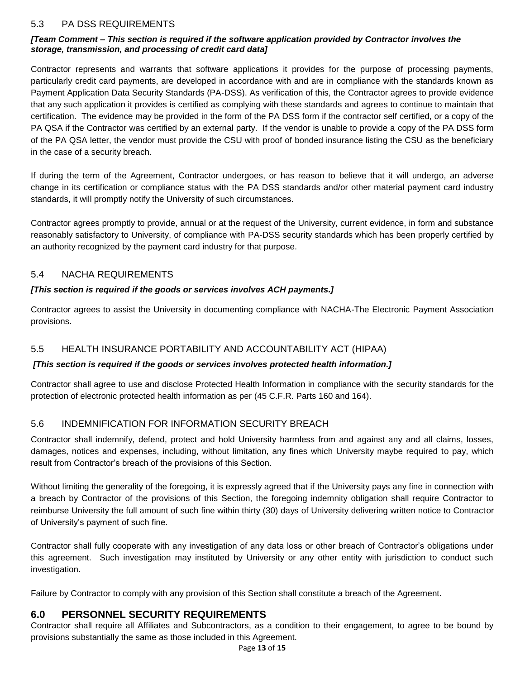#### <span id="page-12-0"></span> $5.3$ 5.3 PA DSS REQUIREMENTS

#### *[Team Comment – This section is required if the software application provided by Contractor involves the storage, transmission, and processing of credit card data]*

 Contractor represents and warrants that software applications it provides for the purpose of processing payments, particularly credit card payments, are developed in accordance with and are in compliance with the standards known as Payment Application Data Security Standards (PA-DSS). As verification of this, the Contractor agrees to provide evidence that any such application it provides is certified as complying with these standards and agrees to continue to maintain that certification. The evidence may be provided in the form of the PA DSS form if the contractor self certified, or a copy of the PA QSA if the Contractor was certified by an external party. If the vendor is unable to provide a copy of the PA DSS form of the PA QSA letter, the vendor must provide the CSU with proof of bonded insurance listing the CSU as the beneficiary in the case of a security breach.

 If during the term of the Agreement, Contractor undergoes, or has reason to believe that it will undergo, an adverse change in its certification or compliance status with the PA DSS standards and/or other material payment card industry standards, it will promptly notify the University of such circumstances.

 Contractor agrees promptly to provide, annual or at the request of the University, current evidence, in form and substance reasonably satisfactory to University, of compliance with PA-DSS security standards which has been properly certified by an authority recognized by the payment card industry for that purpose.

#### <span id="page-12-1"></span>5.4 NACHA REQUIREMENTS

#### *[This section is required if the goods or services involves ACH payments.]*

 Contractor agrees to assist the University in documenting compliance with NACHA-The Electronic Payment Association provisions.

#### <span id="page-12-2"></span>5.5 HEALTH INSURANCE PORTABILITY AND ACCOUNTABILITY ACT (HIPAA)

#### *[This section is required if the goods or services involves protected health information.]*

 Contractor shall agree to use and disclose Protected Health Information in compliance with the security standards for the protection of electronic protected health information as per (45 C.F.R. Parts 160 and 164).

#### <span id="page-12-3"></span>5.6 INDEMNIFICATION FOR INFORMATION SECURITY BREACH

 Contractor shall indemnify, defend, protect and hold University harmless from and against any and all claims, losses, damages, notices and expenses, including, without limitation, any fines which University maybe required to pay, which result from Contractor's breach of the provisions of this Section.

 Without limiting the generality of the foregoing, it is expressly agreed that if the University pays any fine in connection with a breach by Contractor of the provisions of this Section, the foregoing indemnity obligation shall require Contractor to reimburse University the full amount of such fine within thirty (30) days of University delivering written notice to Contractor of University's payment of such fine.

 Contractor shall fully cooperate with any investigation of any data loss or other breach of Contractor's obligations under this agreement. Such investigation may instituted by University or any other entity with jurisdiction to conduct such investigation.

Failure by Contractor to comply with any provision of this Section shall constitute a breach of the Agreement.

#### <span id="page-12-4"></span>**6.0 PERSONNEL SECURITY REQUIREMENTS**

Contractor shall require all Affiliates and Subcontractors, as a condition to their engagement, to agree to be bound by provisions substantially the same as those included in this Agreement.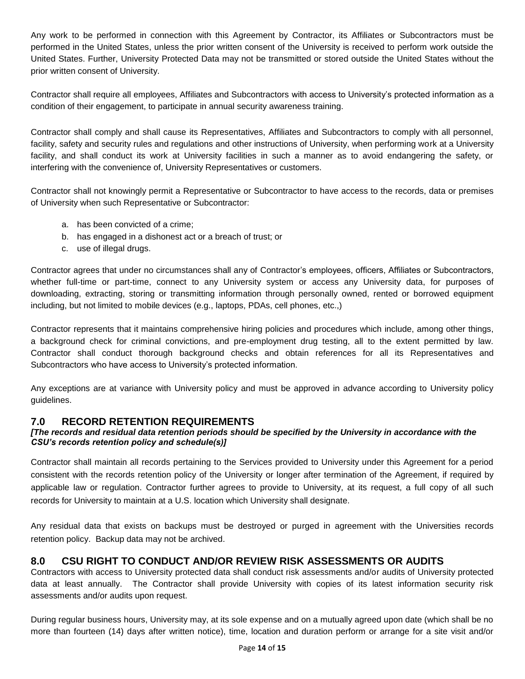Any work to be performed in connection with this Agreement by Contractor, its Affiliates or Subcontractors must be performed in the United States, unless the prior written consent of the University is received to perform work outside the United States. Further, University Protected Data may not be transmitted or stored outside the United States without the prior written consent of University.

 Contractor shall require all employees, Affiliates and Subcontractors with access to University's protected information as a condition of their engagement, to participate in annual security awareness training.

 Contractor shall comply and shall cause its Representatives, Affiliates and Subcontractors to comply with all personnel, facility, safety and security rules and regulations and other instructions of University, when performing work at a University facility, and shall conduct its work at University facilities in such a manner as to avoid endangering the safety, or interfering with the convenience of, University Representatives or customers.

 Contractor shall not knowingly permit a Representative or Subcontractor to have access to the records, data or premises of University when such Representative or Subcontractor:

- a. has been convicted of a crime;
- b. has engaged in a dishonest act or a breach of trust; or<br>c. use of illegal drugs.
- c. use of illegal drugs.

 Contractor agrees that under no circumstances shall any of Contractor's employees, officers, Affiliates or Subcontractors, whether full-time or part-time, connect to any University system or access any University data, for purposes of including, but not limited to mobile devices (e.g., laptops, PDAs, cell phones, etc.,) downloading, extracting, storing or transmitting information through personally owned, rented or borrowed equipment

including, but not limited to mobile devices (e.g., laptops, PDAs, cell phones, etc.,)<br>Contractor represents that it maintains comprehensive hiring policies and procedures which include, among other things, a background check for criminal convictions, and pre-employment drug testing, all to the extent permitted by law. Contractor shall conduct thorough background checks and obtain references for all its Representatives and Subcontractors who have access to University's protected information.

 Any exceptions are at variance with University policy and must be approved in advance according to University policy guidelines.

#### <span id="page-13-0"></span>**7.0 RECORD RETENTION REQUIREMENTS**

#### *CSU's records retention policy and schedule(s)] [The records and residual data retention periods should be specified by the University in accordance with the*

 Contractor shall maintain all records pertaining to the Services provided to University under this Agreement for a period consistent with the records retention policy of the University or longer after termination of the Agreement, if required by applicable law or regulation. Contractor further agrees to provide to University, at its request, a full copy of all such records for University to maintain at a U.S. location which University shall designate.

 Any residual data that exists on backups must be destroyed or purged in agreement with the Universities records retention policy. Backup data may not be archived.

#### <span id="page-13-1"></span>**8.0 CSU RIGHT TO CONDUCT AND/OR REVIEW RISK ASSESSMENTS OR AUDITS**

 Contractors with access to University protected data shall conduct risk assessments and/or audits of University protected data at least annually. The Contractor shall provide University with copies of its latest information security risk assessments and/or audits upon request.

 During regular business hours, University may, at its sole expense and on a mutually agreed upon date (which shall be no more than fourteen (14) days after written notice), time, location and duration perform or arrange for a site visit and/or